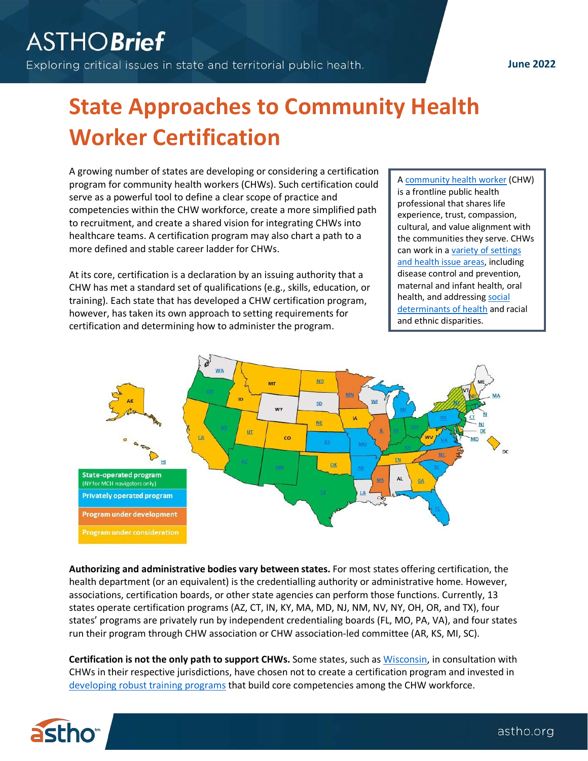**June 2022**

## **State Approaches to Community Health Worker Certification**

A growing number of states are developing or considering a certification program for community health workers (CHWs). Such certification could serve as a powerful tool to define a clear scope of practice and competencies within the CHW workforce, create a more simplified path to recruitment, and create a shared vision for integrating CHWs into healthcare teams. A certification program may also chart a path to a more defined and stable career ladder for CHWs.

At its core, certification is a declaration by an issuing authority that a CHW has met a standard set of qualifications (e.g., skills, education, or training). Each state that has developed a CHW certification program, however, has taken its own approach to setting requirements for certification and determining how to administer the program.

A [community health worker](https://nachw.org/about/) (CHW) is a frontline public health professional that shares life experience, trust, compassion, cultural, and value alignment with the communities they serve. CHWs can work in a [variety of settings](https://www.nashp.org/state-community-health-worker-models/#tab-id-5)  [and health issue areas,](https://www.nashp.org/state-community-health-worker-models/#tab-id-5) including disease control and prevention, maternal and infant health, oral health, and addressing [social](https://www.cdc.gov/socialdeterminants/index.htm)  [determinants of health](https://www.cdc.gov/socialdeterminants/index.htm) and racial and ethnic disparities.



**Authorizing and administrative bodies vary between states.** For most states offering certification, the health department (or an equivalent) is the credentialling authority or administrative home. However, associations, certification boards, or other state agencies can perform those functions. Currently, 13 states operate certification programs (AZ, CT, IN, KY, MA, MD, NJ, NM, NV, NY, OH, OR, and TX), four states' programs are privately run by independent credentialing boards (FL, MO, PA, VA), and four states run their program through CHW association or CHW association-led committee (AR, KS, MI, SC).

**Certification is not the only path to support CHWs.** Some states, such as [Wisconsin,](https://www.astho.org/globalassets/pdf/chw-workforce-development-wisconsin-snapshot.pdf) in consultation with CHWs in their respective jurisdictions, have chosen not to create a certification program and invested in [developing robust training programs](https://www.wichwnetwork.com/page-1075399) that build core competencies among the CHW workforce.